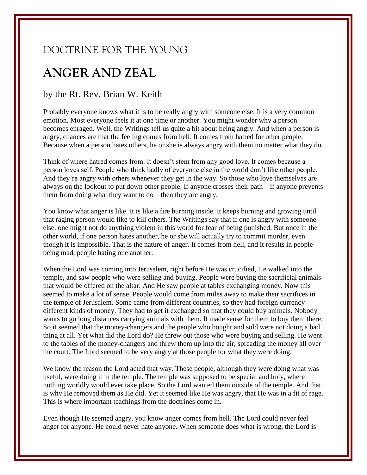## DOCTRINE FOR THE YOUNG

## **ANGER AND ZEAL**

## by the Rt. Rev. Brian W. Keith

Probably everyone knows what it is to be really angry with someone else. It is a very common emotion. Most everyone feels it at one time or another. You might wonder why a person becomes enraged. Well, the Writings tell us quite a bit about being angry. And when a person is angry, chances are that the feeling comes from hell. It comes from hatred for other people. Because when a person hates others, he or she is always angry with them no matter what they do.

Think of where hatred comes from. It doesn't stem from any good love. It comes because a person loves self. People who think badly of everyone else in the world don't like other people. And they're angry with others whenever they get in the way. So those who love themselves are always on the lookout to put down other people. If anyone crosses their path—if anyone prevents them from doing what they want to do—then they are angry.

You know what anger is like. It is like a fire burning inside. It keeps burning and growing until that raging person would like to kill others. The Writings say that if one is angry with someone else, one might not do anything violent in this world for fear of being punished. But once in the other world, if one person hates another, he or she will actually try to commit murder, even though it is impossible. That is the nature of anger. It comes from hell, and it results in people being mad, people hating one another.

When the Lord was coming into Jerusalem, right before He was crucified, He walked into the temple, and saw people who were selling and buying. People were buying the sacrificial animals that would be offered on the altar. And He saw people at tables exchanging money. Now this seemed to make a lot of sense. People would come from miles away to make their sacrifices in the temple of Jerusalem. Some came from different countries, so they had foreign currency different kinds of money. They had to get it exchanged so that they could buy animals. Nobody wants to go long distances carrying animals with them. It made sense for them to buy them there. So it seemed that the money-changers and the people who bought and sold were not doing a bad thing at all. Yet what did the Lord do? He threw out those who were buying and selling. He went to the tables of the money-changers and threw them up into the air, spreading the money all over the court. The Lord seemed to be very angry at those people for what they were doing.

We know the reason the Lord acted that way. These people, although they were doing what was useful, were doing it in the temple. The temple was supposed to be special and holy, where nothing worldly would ever take place. So the Lord wanted them outside of the temple. And that is why He removed them as He did. Yet it seemed like He was angry, that He was in a fit of rage. This is where important teachings from the doctrines come in.

Even though He seemed angry, you know anger comes from hell. The Lord could never feel anger for anyone. He could never hate anyone. When someone does what is wrong, the Lord is